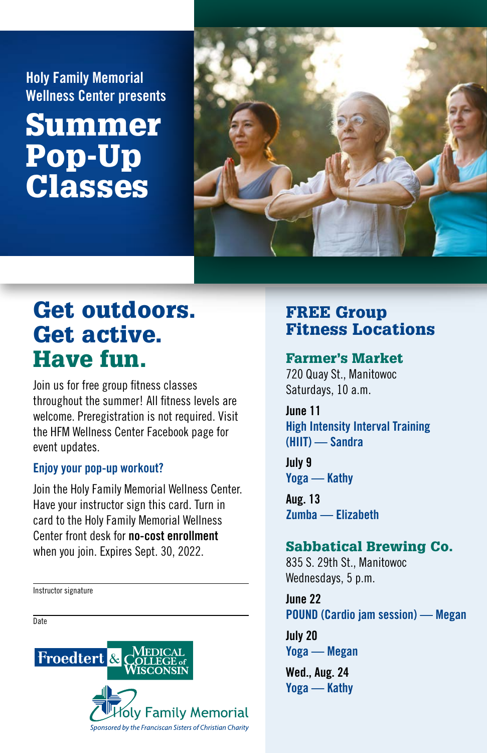Holy Family Memorial Wellness Center presents

# Summer Pop-Up Classes



## Get outdoors. Get active. Have fun.

Join us for free group fitness classes throughout the summer! All fitness levels are welcome. Preregistration is not required. Visit the HFM Wellness Center Facebook page for event updates.

#### Enjoy your pop-up workout?

Join the Holy Family Memorial Wellness Center. Have your instructor sign this card. Turn in card to the Holy Family Memorial Wellness Center front desk for no-cost enrollment when you join. Expires Sept. 30, 2022.

Instructor signature

**Date** 



## FREE Group Fitness Locations

#### Farmer's Market

720 Quay St., Manitowoc Saturdays, 10 a.m.

June 11 High Intensity Interval Training (HIIT) — Sandra

July 9 Yoga — Kathy

Aug. 13 Zumba — Elizabeth

### Sabbatical Brewing Co.

835 S. 29th St., Manitowoc Wednesdays, 5 p.m.

June 22 POUND (Cardio jam session) — Megan

July 20 Yoga — Megan

Wed., Aug. 24 Yoga — Kathy